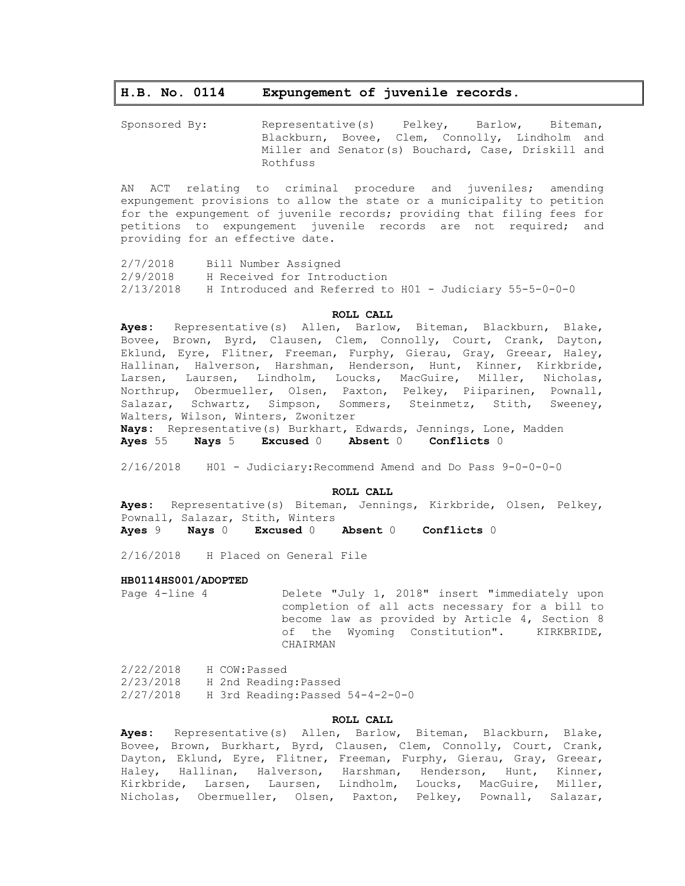# **H.B. No. 0114 Expungement of juvenile records.**

Sponsored By: Representative(s) Pelkey, Barlow, Biteman, Blackburn, Bovee, Clem, Connolly, Lindholm and Miller and Senator(s) Bouchard, Case, Driskill and Rothfuss

AN ACT relating to criminal procedure and juveniles; amending expungement provisions to allow the state or a municipality to petition for the expungement of juvenile records; providing that filing fees for petitions to expungement juvenile records are not required; and providing for an effective date.

2/7/2018 Bill Number Assigned 2/9/2018 H Received for Introduction 2/13/2018 H Introduced and Referred to H01 - Judiciary 55-5-0-0-0

## **ROLL CALL**

**Ayes:** Representative(s) Allen, Barlow, Biteman, Blackburn, Blake, Bovee, Brown, Byrd, Clausen, Clem, Connolly, Court, Crank, Dayton, Eklund, Eyre, Flitner, Freeman, Furphy, Gierau, Gray, Greear, Haley, Hallinan, Halverson, Harshman, Henderson, Hunt, Kinner, Kirkbride, Larsen, Laursen, Lindholm, Loucks, MacGuire, Miller, Nicholas, Northrup, Obermueller, Olsen, Paxton, Pelkey, Piiparinen, Pownall, Salazar, Schwartz, Simpson, Sommers, Steinmetz, Stith, Sweeney, Walters, Wilson, Winters, Zwonitzer

**Nays:** Representative(s) Burkhart, Edwards, Jennings, Lone, Madden **Ayes** 55 **Nays** 5 **Excused** 0 **Absent** 0 **Conflicts** 0

2/16/2018 H01 - Judiciary:Recommend Amend and Do Pass 9-0-0-0-0

### **ROLL CALL**

**Ayes:** Representative(s) Biteman, Jennings, Kirkbride, Olsen, Pelkey, Pownall, Salazar, Stith, Winters

**Ayes** 9 **Nays** 0 **Excused** 0 **Absent** 0 **Conflicts** 0

2/16/2018 H Placed on General File

#### **HB0114HS001/ADOPTED**

Page 4-line 4 Delete "July 1, 2018" insert "immediately upon completion of all acts necessary for a bill to become law as provided by Article 4, Section 8 of the Wyoming Constitution". KIRKBRIDE, CHAIRMAN

2/22/2018 H COW:Passed 2/23/2018 H 2nd Reading:Passed 2/27/2018 H 3rd Reading:Passed 54-4-2-0-0

## **ROLL CALL**

**Ayes:** Representative(s) Allen, Barlow, Biteman, Blackburn, Blake, Bovee, Brown, Burkhart, Byrd, Clausen, Clem, Connolly, Court, Crank, Dayton, Eklund, Eyre, Flitner, Freeman, Furphy, Gierau, Gray, Greear, Haley, Hallinan, Halverson, Harshman, Henderson, Hunt, Kinner, Kirkbride, Larsen, Laursen, Lindholm, Loucks, MacGuire, Miller, Nicholas, Obermueller, Olsen, Paxton, Pelkey, Pownall, Salazar,